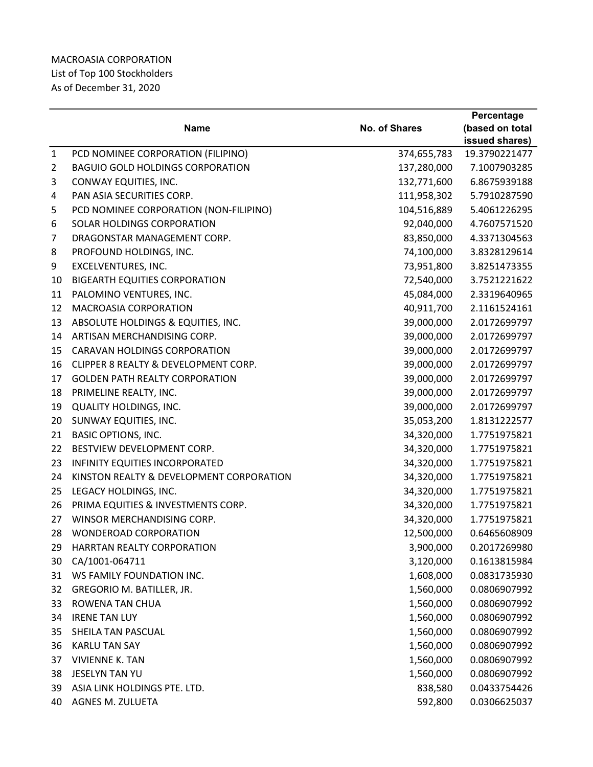## MACROASIA CORPORATION List of Top 100 Stockholders As of December 31, 2020

|              |                                          |                      | Percentage      |
|--------------|------------------------------------------|----------------------|-----------------|
|              | <b>Name</b>                              | <b>No. of Shares</b> | (based on total |
|              |                                          |                      | issued shares)  |
| $\mathbf{1}$ | PCD NOMINEE CORPORATION (FILIPINO)       | 374,655,783          | 19.3790221477   |
| 2            | <b>BAGUIO GOLD HOLDINGS CORPORATION</b>  | 137,280,000          | 7.1007903285    |
| 3            | CONWAY EQUITIES, INC.                    | 132,771,600          | 6.8675939188    |
| 4            | PAN ASIA SECURITIES CORP.                | 111,958,302          | 5.7910287590    |
| 5            | PCD NOMINEE CORPORATION (NON-FILIPINO)   | 104,516,889          | 5.4061226295    |
| 6            | SOLAR HOLDINGS CORPORATION               | 92,040,000           | 4.7607571520    |
| 7            | DRAGONSTAR MANAGEMENT CORP.              | 83,850,000           | 4.3371304563    |
| 8            | PROFOUND HOLDINGS, INC.                  | 74,100,000           | 3.8328129614    |
| 9            | EXCELVENTURES, INC.                      | 73,951,800           | 3.8251473355    |
| 10           | <b>BIGEARTH EQUITIES CORPORATION</b>     | 72,540,000           | 3.7521221622    |
| 11           | PALOMINO VENTURES, INC.                  | 45,084,000           | 2.3319640965    |
| 12           | <b>MACROASIA CORPORATION</b>             | 40,911,700           | 2.1161524161    |
| 13           | ABSOLUTE HOLDINGS & EQUITIES, INC.       | 39,000,000           | 2.0172699797    |
| 14           | ARTISAN MERCHANDISING CORP.              | 39,000,000           | 2.0172699797    |
| 15           | <b>CARAVAN HOLDINGS CORPORATION</b>      | 39,000,000           | 2.0172699797    |
| 16           | CLIPPER 8 REALTY & DEVELOPMENT CORP.     | 39,000,000           | 2.0172699797    |
| 17           | <b>GOLDEN PATH REALTY CORPORATION</b>    | 39,000,000           | 2.0172699797    |
| 18           | PRIMELINE REALTY, INC.                   | 39,000,000           | 2.0172699797    |
| 19           | <b>QUALITY HOLDINGS, INC.</b>            | 39,000,000           | 2.0172699797    |
| 20           | SUNWAY EQUITIES, INC.                    | 35,053,200           | 1.8131222577    |
| 21           | <b>BASIC OPTIONS, INC.</b>               | 34,320,000           | 1.7751975821    |
| 22           | BESTVIEW DEVELOPMENT CORP.               | 34,320,000           | 1.7751975821    |
| 23           | <b>INFINITY EQUITIES INCORPORATED</b>    | 34,320,000           | 1.7751975821    |
| 24           | KINSTON REALTY & DEVELOPMENT CORPORATION | 34,320,000           | 1.7751975821    |
| 25           | LEGACY HOLDINGS, INC.                    | 34,320,000           | 1.7751975821    |
| 26           | PRIMA EQUITIES & INVESTMENTS CORP.       | 34,320,000           | 1.7751975821    |
| 27           | WINSOR MERCHANDISING CORP.               | 34,320,000           | 1.7751975821    |
| 28           | <b>WONDEROAD CORPORATION</b>             | 12,500,000           | 0.6465608909    |
| 29           | <b>HARRTAN REALTY CORPORATION</b>        | 3,900,000            | 0.2017269980    |
| 30           | CA/1001-064711                           | 3,120,000            | 0.1613815984    |
| 31           | WS FAMILY FOUNDATION INC.                | 1,608,000            | 0.0831735930    |
| 32           | GREGORIO M. BATILLER, JR.                | 1,560,000            | 0.0806907992    |
| 33           | ROWENA TAN CHUA                          | 1,560,000            | 0.0806907992    |
| 34           | <b>IRENE TAN LUY</b>                     | 1,560,000            | 0.0806907992    |
| 35           | SHEILA TAN PASCUAL                       | 1,560,000            | 0.0806907992    |
| 36           | <b>KARLU TAN SAY</b>                     | 1,560,000            | 0.0806907992    |
| 37           | <b>VIVIENNE K. TAN</b>                   | 1,560,000            | 0.0806907992    |
| 38           | JESELYN TAN YU                           | 1,560,000            | 0.0806907992    |
| 39           | ASIA LINK HOLDINGS PTE. LTD.             | 838,580              | 0.0433754426    |
| 40           | AGNES M. ZULUETA                         | 592,800              | 0.0306625037    |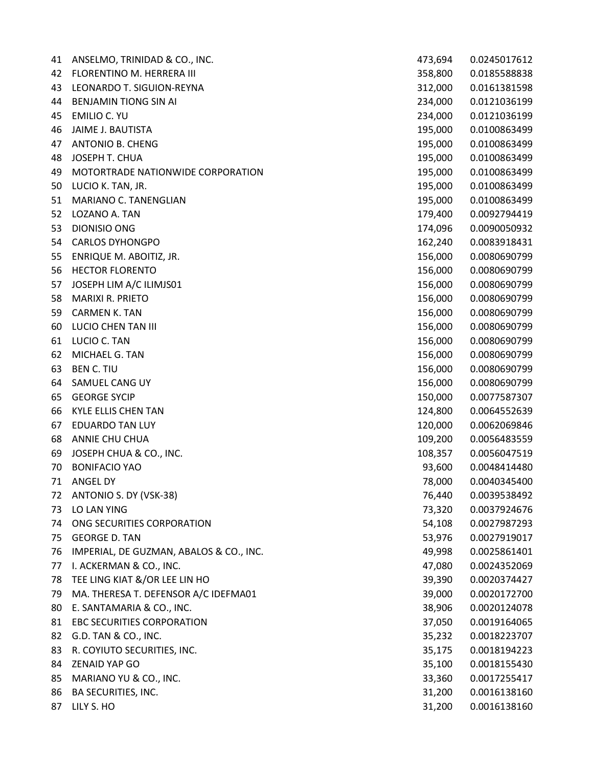| 41 | ANSELMO, TRINIDAD & CO., INC.           | 473,694 | 0.0245017612 |
|----|-----------------------------------------|---------|--------------|
| 42 | FLORENTINO M. HERRERA III               | 358,800 | 0.0185588838 |
| 43 | LEONARDO T. SIGUION-REYNA               | 312,000 | 0.0161381598 |
| 44 | <b>BENJAMIN TIONG SIN AI</b>            | 234,000 | 0.0121036199 |
| 45 | EMILIO C. YU                            | 234,000 | 0.0121036199 |
| 46 | JAIME J. BAUTISTA                       | 195,000 | 0.0100863499 |
| 47 | ANTONIO B. CHENG                        | 195,000 | 0.0100863499 |
| 48 | JOSEPH T. CHUA                          | 195,000 | 0.0100863499 |
| 49 | MOTORTRADE NATIONWIDE CORPORATION       | 195,000 | 0.0100863499 |
| 50 | LUCIO K. TAN, JR.                       | 195,000 | 0.0100863499 |
| 51 | MARIANO C. TANENGLIAN                   | 195,000 | 0.0100863499 |
| 52 | LOZANO A. TAN                           | 179,400 | 0.0092794419 |
| 53 | DIONISIO ONG                            | 174,096 | 0.0090050932 |
| 54 | <b>CARLOS DYHONGPO</b>                  | 162,240 | 0.0083918431 |
| 55 | ENRIQUE M. ABOITIZ, JR.                 | 156,000 | 0.0080690799 |
| 56 | <b>HECTOR FLORENTO</b>                  | 156,000 | 0.0080690799 |
| 57 | JOSEPH LIM A/C ILIMJS01                 | 156,000 | 0.0080690799 |
| 58 | <b>MARIXI R. PRIETO</b>                 | 156,000 | 0.0080690799 |
| 59 | <b>CARMEN K. TAN</b>                    | 156,000 | 0.0080690799 |
| 60 | LUCIO CHEN TAN III                      | 156,000 | 0.0080690799 |
| 61 | LUCIO C. TAN                            | 156,000 | 0.0080690799 |
| 62 | MICHAEL G. TAN                          | 156,000 | 0.0080690799 |
| 63 | <b>BEN C. TIU</b>                       | 156,000 | 0.0080690799 |
| 64 | SAMUEL CANG UY                          | 156,000 | 0.0080690799 |
| 65 | <b>GEORGE SYCIP</b>                     | 150,000 | 0.0077587307 |
| 66 | <b>KYLE ELLIS CHEN TAN</b>              | 124,800 | 0.0064552639 |
| 67 | <b>EDUARDO TAN LUY</b>                  | 120,000 | 0.0062069846 |
| 68 | ANNIE CHU CHUA                          | 109,200 | 0.0056483559 |
| 69 | JOSEPH CHUA & CO., INC.                 | 108,357 | 0.0056047519 |
| 70 | <b>BONIFACIO YAO</b>                    | 93,600  | 0.0048414480 |
| 71 | ANGEL DY                                | 78,000  | 0.0040345400 |
| 72 | ANTONIO S. DY (VSK-38)                  | 76,440  | 0.0039538492 |
| 73 | LO LAN YING                             | 73,320  | 0.0037924676 |
| 74 | ONG SECURITIES CORPORATION              | 54,108  | 0.0027987293 |
| 75 | <b>GEORGE D. TAN</b>                    | 53,976  | 0.0027919017 |
| 76 | IMPERIAL, DE GUZMAN, ABALOS & CO., INC. | 49,998  | 0.0025861401 |
| 77 | I. ACKERMAN & CO., INC.                 | 47,080  | 0.0024352069 |
| 78 | TEE LING KIAT &/OR LEE LIN HO           | 39,390  | 0.0020374427 |
| 79 | MA. THERESA T. DEFENSOR A/C IDEFMA01    | 39,000  | 0.0020172700 |
| 80 | E. SANTAMARIA & CO., INC.               | 38,906  | 0.0020124078 |
| 81 | EBC SECURITIES CORPORATION              | 37,050  | 0.0019164065 |
| 82 | G.D. TAN & CO., INC.                    | 35,232  | 0.0018223707 |
| 83 | R. COYIUTO SECURITIES, INC.             | 35,175  | 0.0018194223 |
| 84 | <b>ZENAID YAP GO</b>                    | 35,100  | 0.0018155430 |
| 85 | MARIANO YU & CO., INC.                  | 33,360  | 0.0017255417 |
| 86 | <b>BA SECURITIES, INC.</b>              | 31,200  | 0.0016138160 |
| 87 | LILY S. HO                              | 31,200  | 0.0016138160 |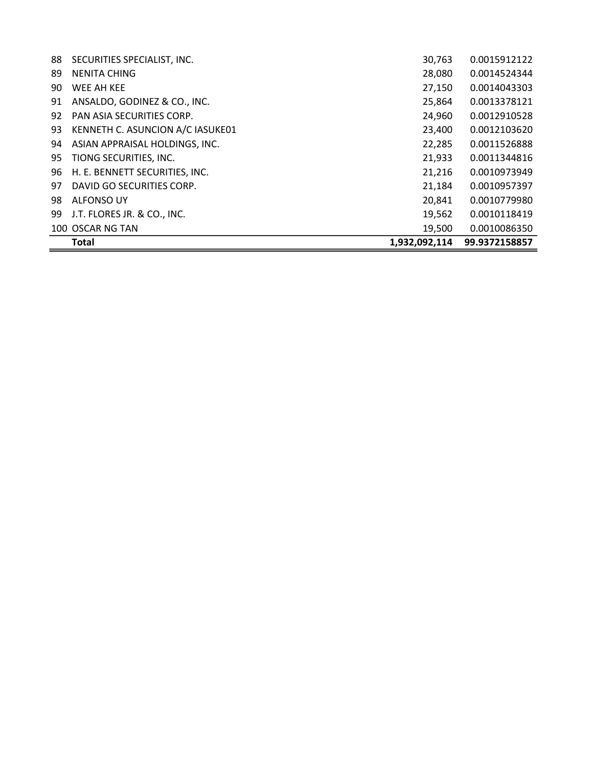|    | <b>Total</b>                     | 1,932,092,114 | 99.9372158857 |
|----|----------------------------------|---------------|---------------|
|    | 100 OSCAR NG TAN                 | 19,500        | 0.0010086350  |
| 99 | J.T. FLORES JR. & CO., INC.      | 19,562        | 0.0010118419  |
| 98 | <b>ALFONSO UY</b>                | 20,841        | 0.0010779980  |
| 97 | DAVID GO SECURITIES CORP.        | 21,184        | 0.0010957397  |
| 96 | H. E. BENNETT SECURITIES, INC.   | 21,216        | 0.0010973949  |
| 95 | TIONG SECURITIES, INC.           | 21,933        | 0.0011344816  |
| 94 | ASIAN APPRAISAL HOLDINGS, INC.   | 22,285        | 0.0011526888  |
| 93 | KENNETH C. ASUNCION A/C IASUKE01 | 23,400        | 0.0012103620  |
| 92 | PAN ASIA SECURITIES CORP.        | 24,960        | 0.0012910528  |
| 91 | ANSALDO, GODINEZ & CO., INC.     | 25,864        | 0.0013378121  |
| 90 | WEE AH KEE                       | 27,150        | 0.0014043303  |
| 89 | <b>NENITA CHING</b>              | 28,080        | 0.0014524344  |
| 88 | SECURITIES SPECIALIST, INC.      | 30,763        | 0.0015912122  |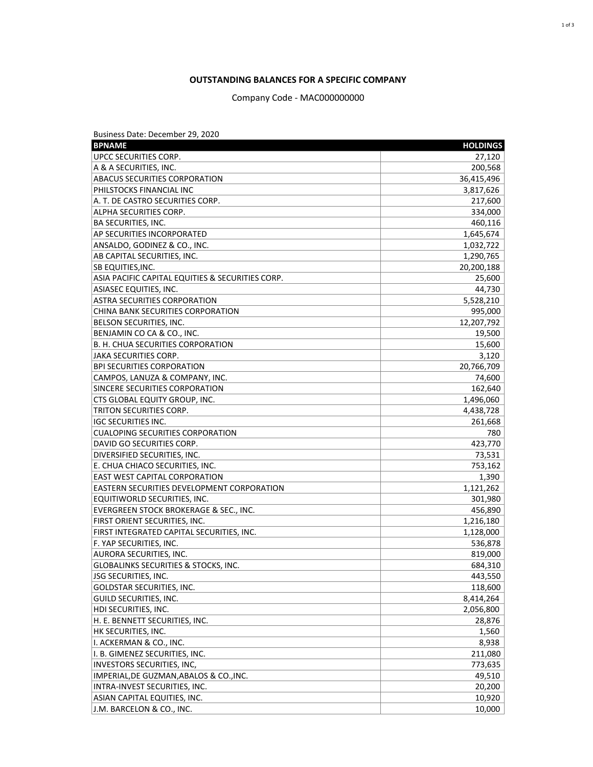## **OUTSTANDING BALANCES FOR A SPECIFIC COMPANY**

Company Code - MAC000000000

| Business Date: December 29, 2020                    |                      |
|-----------------------------------------------------|----------------------|
| <b>BPNAME</b>                                       | <b>HOLDINGS</b>      |
| <b>UPCC SECURITIES CORP.</b>                        | 27,120               |
| A & A SECURITIES, INC.                              | 200,568              |
| <b>ABACUS SECURITIES CORPORATION</b>                | 36,415,496           |
| PHILSTOCKS FINANCIAL INC                            | 3,817,626            |
| A. T. DE CASTRO SECURITIES CORP.                    | 217,600              |
| ALPHA SECURITIES CORP.                              | 334,000              |
| <b>BA SECURITIES, INC.</b>                          | 460,116              |
| <b>AP SECURITIES INCORPORATED</b>                   | 1,645,674            |
| ANSALDO, GODINEZ & CO., INC.                        | 1,032,722            |
| AB CAPITAL SECURITIES, INC.                         | 1,290,765            |
| <b>SB EQUITIES, INC.</b>                            | 20,200,188           |
| ASIA PACIFIC CAPITAL EQUITIES & SECURITIES CORP.    | 25,600               |
| ASIASEC EQUITIES, INC.                              | 44,730               |
| <b>ASTRA SECURITIES CORPORATION</b>                 | 5,528,210            |
| CHINA BANK SECURITIES CORPORATION                   | 995,000              |
| BELSON SECURITIES, INC.                             | 12,207,792           |
| BENJAMIN CO CA & CO., INC.                          | 19,500               |
| B. H. CHUA SECURITIES CORPORATION                   | 15,600               |
| JAKA SECURITIES CORP.                               | 3,120                |
| <b>BPI SECURITIES CORPORATION</b>                   | 20,766,709           |
| CAMPOS, LANUZA & COMPANY, INC.                      | 74,600               |
| SINCERE SECURITIES CORPORATION                      | 162,640              |
| CTS GLOBAL EQUITY GROUP, INC.                       | 1,496,060            |
| TRITON SECURITIES CORP.                             | 4,438,728            |
| IGC SECURITIES INC.                                 | 261,668              |
| <b>CUALOPING SECURITIES CORPORATION</b>             | 780                  |
| DAVID GO SECURITIES CORP.                           | 423,770              |
| DIVERSIFIED SECURITIES, INC.                        | 73,531               |
| E. CHUA CHIACO SECURITIES, INC.                     | 753,162              |
| EAST WEST CAPITAL CORPORATION                       | 1,390                |
| EASTERN SECURITIES DEVELOPMENT CORPORATION          | 1,121,262            |
| EQUITIWORLD SECURITIES, INC.                        | 301,980              |
| EVERGREEN STOCK BROKERAGE & SEC., INC.              | 456,890              |
| FIRST ORIENT SECURITIES, INC.                       | 1,216,180            |
| FIRST INTEGRATED CAPITAL SECURITIES, INC.           | 1,128,000            |
| F. YAP SECURITIES, INC.                             | 536,878              |
| AURORA SECURITIES, INC.                             | 819,000              |
| GLOBALINKS SECURITIES & STOCKS, INC.                | 684,310              |
| <b>JSG SECURITIES, INC.</b>                         | 443,550              |
|                                                     |                      |
| GOLDSTAR SECURITIES, INC.<br>GUILD SECURITIES, INC. | 118,600<br>8,414,264 |
| HDI SECURITIES, INC.                                | 2,056,800            |
|                                                     |                      |
| H. E. BENNETT SECURITIES, INC.                      | 28,876               |
| HK SECURITIES, INC.                                 | 1,560                |
| I. ACKERMAN & CO., INC.                             | 8,938                |
| I. B. GIMENEZ SECURITIES, INC.                      | 211,080              |
| <b>INVESTORS SECURITIES, INC,</b>                   | 773,635              |
| IMPERIAL, DE GUZMAN, ABALOS & CO., INC.             | 49,510               |
| INTRA-INVEST SECURITIES, INC.                       | 20,200               |
| ASIAN CAPITAL EQUITIES, INC.                        | 10,920               |
| J.M. BARCELON & CO., INC.                           | 10,000               |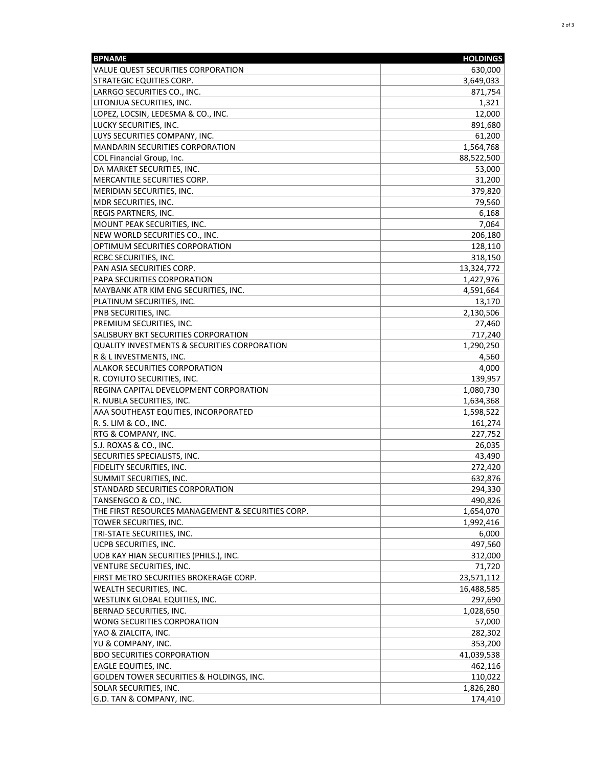| VALUE QUEST SECURITIES CORPORATION<br>630,000<br>STRATEGIC EQUITIES CORP.<br>3,649,033<br>LARRGO SECURITIES CO., INC.<br>871,754<br>1,321<br>LITONJUA SECURITIES, INC.<br>LOPEZ, LOCSIN, LEDESMA & CO., INC.<br>12,000<br>LUCKY SECURITIES, INC.<br>891,680<br>LUYS SECURITIES COMPANY, INC.<br>61,200<br><b>MANDARIN SECURITIES CORPORATION</b><br>1,564,768<br>COL Financial Group, Inc.<br>88,522,500<br>DA MARKET SECURITIES, INC.<br>53,000<br>MERCANTILE SECURITIES CORP.<br>31,200<br>MERIDIAN SECURITIES, INC.<br>379,820<br>MDR SECURITIES, INC.<br>79,560<br>REGIS PARTNERS, INC.<br>6,168<br>MOUNT PEAK SECURITIES, INC.<br>7,064<br>NEW WORLD SECURITIES CO., INC.<br>206,180<br>OPTIMUM SECURITIES CORPORATION<br>128,110<br>RCBC SECURITIES, INC.<br>318,150<br>13,324,772<br>PAN ASIA SECURITIES CORP.<br>1,427,976<br><b>PAPA SECURITIES CORPORATION</b><br>MAYBANK ATR KIM ENG SECURITIES, INC.<br>4,591,664<br>PLATINUM SECURITIES, INC.<br>13,170<br>2,130,506<br>PNB SECURITIES, INC.<br>PREMIUM SECURITIES, INC.<br>27,460<br>SALISBURY BKT SECURITIES CORPORATION<br>717,240<br><b>QUALITY INVESTMENTS &amp; SECURITIES CORPORATION</b><br>1,290,250<br>R & L INVESTMENTS, INC.<br>4,560<br>4,000<br><b>ALAKOR SECURITIES CORPORATION</b><br>139,957<br>R. COYIUTO SECURITIES, INC.<br>REGINA CAPITAL DEVELOPMENT CORPORATION<br>1,080,730<br>R. NUBLA SECURITIES, INC.<br>1,634,368<br>AAA SOUTHEAST EQUITIES, INCORPORATED<br>1,598,522<br>R. S. LIM & CO., INC.<br>161,274<br>RTG & COMPANY, INC.<br>227,752<br>S.J. ROXAS & CO., INC.<br>26,035<br>SECURITIES SPECIALISTS, INC.<br>43,490<br>FIDELITY SECURITIES, INC.<br>272,420<br>SUMMIT SECURITIES, INC.<br>632,876<br>294,330<br>STANDARD SECURITIES CORPORATION<br>490,826<br>TANSENGCO & CO., INC.<br>THE FIRST RESOURCES MANAGEMENT & SECURITIES CORP.<br>1,654,070<br>1,992,416<br>TOWER SECURITIES, INC.<br>TRI-STATE SECURITIES, INC.<br>6,000<br>UCPB SECURITIES, INC.<br>497,560<br>UOB KAY HIAN SECURITIES (PHILS.), INC.<br>312,000<br>71,720<br>VENTURE SECURITIES, INC.<br>FIRST METRO SECURITIES BROKERAGE CORP.<br>23,571,112<br>WEALTH SECURITIES, INC.<br>16,488,585<br>WESTLINK GLOBAL EQUITIES, INC.<br>297,690<br>BERNAD SECURITIES, INC.<br>1,028,650<br>WONG SECURITIES CORPORATION<br>57,000<br>YAO & ZIALCITA, INC.<br>282,302<br>YU & COMPANY, INC.<br>353,200<br><b>BDO SECURITIES CORPORATION</b><br>41,039,538<br>EAGLE EQUITIES, INC.<br>462,116<br>GOLDEN TOWER SECURITIES & HOLDINGS, INC.<br>SOLAR SECURITIES, INC.<br>1,826,280<br>G.D. TAN & COMPANY, INC. | <b>BPNAME</b> | <b>HOLDINGS</b> |
|----------------------------------------------------------------------------------------------------------------------------------------------------------------------------------------------------------------------------------------------------------------------------------------------------------------------------------------------------------------------------------------------------------------------------------------------------------------------------------------------------------------------------------------------------------------------------------------------------------------------------------------------------------------------------------------------------------------------------------------------------------------------------------------------------------------------------------------------------------------------------------------------------------------------------------------------------------------------------------------------------------------------------------------------------------------------------------------------------------------------------------------------------------------------------------------------------------------------------------------------------------------------------------------------------------------------------------------------------------------------------------------------------------------------------------------------------------------------------------------------------------------------------------------------------------------------------------------------------------------------------------------------------------------------------------------------------------------------------------------------------------------------------------------------------------------------------------------------------------------------------------------------------------------------------------------------------------------------------------------------------------------------------------------------------------------------------------------------------------------------------------------------------------------------------------------------------------------------------------------------------------------------------------------------------------------------------------------------------------------------------------------------------------------------------------------------------------------------------------------------------------------------------------------------------------------------------|---------------|-----------------|
|                                                                                                                                                                                                                                                                                                                                                                                                                                                                                                                                                                                                                                                                                                                                                                                                                                                                                                                                                                                                                                                                                                                                                                                                                                                                                                                                                                                                                                                                                                                                                                                                                                                                                                                                                                                                                                                                                                                                                                                                                                                                                                                                                                                                                                                                                                                                                                                                                                                                                                                                                                            |               |                 |
| 110,022                                                                                                                                                                                                                                                                                                                                                                                                                                                                                                                                                                                                                                                                                                                                                                                                                                                                                                                                                                                                                                                                                                                                                                                                                                                                                                                                                                                                                                                                                                                                                                                                                                                                                                                                                                                                                                                                                                                                                                                                                                                                                                                                                                                                                                                                                                                                                                                                                                                                                                                                                                    |               |                 |
|                                                                                                                                                                                                                                                                                                                                                                                                                                                                                                                                                                                                                                                                                                                                                                                                                                                                                                                                                                                                                                                                                                                                                                                                                                                                                                                                                                                                                                                                                                                                                                                                                                                                                                                                                                                                                                                                                                                                                                                                                                                                                                                                                                                                                                                                                                                                                                                                                                                                                                                                                                            |               |                 |
|                                                                                                                                                                                                                                                                                                                                                                                                                                                                                                                                                                                                                                                                                                                                                                                                                                                                                                                                                                                                                                                                                                                                                                                                                                                                                                                                                                                                                                                                                                                                                                                                                                                                                                                                                                                                                                                                                                                                                                                                                                                                                                                                                                                                                                                                                                                                                                                                                                                                                                                                                                            |               |                 |
|                                                                                                                                                                                                                                                                                                                                                                                                                                                                                                                                                                                                                                                                                                                                                                                                                                                                                                                                                                                                                                                                                                                                                                                                                                                                                                                                                                                                                                                                                                                                                                                                                                                                                                                                                                                                                                                                                                                                                                                                                                                                                                                                                                                                                                                                                                                                                                                                                                                                                                                                                                            |               |                 |
|                                                                                                                                                                                                                                                                                                                                                                                                                                                                                                                                                                                                                                                                                                                                                                                                                                                                                                                                                                                                                                                                                                                                                                                                                                                                                                                                                                                                                                                                                                                                                                                                                                                                                                                                                                                                                                                                                                                                                                                                                                                                                                                                                                                                                                                                                                                                                                                                                                                                                                                                                                            |               |                 |
|                                                                                                                                                                                                                                                                                                                                                                                                                                                                                                                                                                                                                                                                                                                                                                                                                                                                                                                                                                                                                                                                                                                                                                                                                                                                                                                                                                                                                                                                                                                                                                                                                                                                                                                                                                                                                                                                                                                                                                                                                                                                                                                                                                                                                                                                                                                                                                                                                                                                                                                                                                            |               |                 |
|                                                                                                                                                                                                                                                                                                                                                                                                                                                                                                                                                                                                                                                                                                                                                                                                                                                                                                                                                                                                                                                                                                                                                                                                                                                                                                                                                                                                                                                                                                                                                                                                                                                                                                                                                                                                                                                                                                                                                                                                                                                                                                                                                                                                                                                                                                                                                                                                                                                                                                                                                                            |               |                 |
|                                                                                                                                                                                                                                                                                                                                                                                                                                                                                                                                                                                                                                                                                                                                                                                                                                                                                                                                                                                                                                                                                                                                                                                                                                                                                                                                                                                                                                                                                                                                                                                                                                                                                                                                                                                                                                                                                                                                                                                                                                                                                                                                                                                                                                                                                                                                                                                                                                                                                                                                                                            |               |                 |
| 174,410                                                                                                                                                                                                                                                                                                                                                                                                                                                                                                                                                                                                                                                                                                                                                                                                                                                                                                                                                                                                                                                                                                                                                                                                                                                                                                                                                                                                                                                                                                                                                                                                                                                                                                                                                                                                                                                                                                                                                                                                                                                                                                                                                                                                                                                                                                                                                                                                                                                                                                                                                                    |               |                 |
|                                                                                                                                                                                                                                                                                                                                                                                                                                                                                                                                                                                                                                                                                                                                                                                                                                                                                                                                                                                                                                                                                                                                                                                                                                                                                                                                                                                                                                                                                                                                                                                                                                                                                                                                                                                                                                                                                                                                                                                                                                                                                                                                                                                                                                                                                                                                                                                                                                                                                                                                                                            |               |                 |
|                                                                                                                                                                                                                                                                                                                                                                                                                                                                                                                                                                                                                                                                                                                                                                                                                                                                                                                                                                                                                                                                                                                                                                                                                                                                                                                                                                                                                                                                                                                                                                                                                                                                                                                                                                                                                                                                                                                                                                                                                                                                                                                                                                                                                                                                                                                                                                                                                                                                                                                                                                            |               |                 |
|                                                                                                                                                                                                                                                                                                                                                                                                                                                                                                                                                                                                                                                                                                                                                                                                                                                                                                                                                                                                                                                                                                                                                                                                                                                                                                                                                                                                                                                                                                                                                                                                                                                                                                                                                                                                                                                                                                                                                                                                                                                                                                                                                                                                                                                                                                                                                                                                                                                                                                                                                                            |               |                 |
|                                                                                                                                                                                                                                                                                                                                                                                                                                                                                                                                                                                                                                                                                                                                                                                                                                                                                                                                                                                                                                                                                                                                                                                                                                                                                                                                                                                                                                                                                                                                                                                                                                                                                                                                                                                                                                                                                                                                                                                                                                                                                                                                                                                                                                                                                                                                                                                                                                                                                                                                                                            |               |                 |
|                                                                                                                                                                                                                                                                                                                                                                                                                                                                                                                                                                                                                                                                                                                                                                                                                                                                                                                                                                                                                                                                                                                                                                                                                                                                                                                                                                                                                                                                                                                                                                                                                                                                                                                                                                                                                                                                                                                                                                                                                                                                                                                                                                                                                                                                                                                                                                                                                                                                                                                                                                            |               |                 |
|                                                                                                                                                                                                                                                                                                                                                                                                                                                                                                                                                                                                                                                                                                                                                                                                                                                                                                                                                                                                                                                                                                                                                                                                                                                                                                                                                                                                                                                                                                                                                                                                                                                                                                                                                                                                                                                                                                                                                                                                                                                                                                                                                                                                                                                                                                                                                                                                                                                                                                                                                                            |               |                 |
|                                                                                                                                                                                                                                                                                                                                                                                                                                                                                                                                                                                                                                                                                                                                                                                                                                                                                                                                                                                                                                                                                                                                                                                                                                                                                                                                                                                                                                                                                                                                                                                                                                                                                                                                                                                                                                                                                                                                                                                                                                                                                                                                                                                                                                                                                                                                                                                                                                                                                                                                                                            |               |                 |
|                                                                                                                                                                                                                                                                                                                                                                                                                                                                                                                                                                                                                                                                                                                                                                                                                                                                                                                                                                                                                                                                                                                                                                                                                                                                                                                                                                                                                                                                                                                                                                                                                                                                                                                                                                                                                                                                                                                                                                                                                                                                                                                                                                                                                                                                                                                                                                                                                                                                                                                                                                            |               |                 |
|                                                                                                                                                                                                                                                                                                                                                                                                                                                                                                                                                                                                                                                                                                                                                                                                                                                                                                                                                                                                                                                                                                                                                                                                                                                                                                                                                                                                                                                                                                                                                                                                                                                                                                                                                                                                                                                                                                                                                                                                                                                                                                                                                                                                                                                                                                                                                                                                                                                                                                                                                                            |               |                 |
|                                                                                                                                                                                                                                                                                                                                                                                                                                                                                                                                                                                                                                                                                                                                                                                                                                                                                                                                                                                                                                                                                                                                                                                                                                                                                                                                                                                                                                                                                                                                                                                                                                                                                                                                                                                                                                                                                                                                                                                                                                                                                                                                                                                                                                                                                                                                                                                                                                                                                                                                                                            |               |                 |
|                                                                                                                                                                                                                                                                                                                                                                                                                                                                                                                                                                                                                                                                                                                                                                                                                                                                                                                                                                                                                                                                                                                                                                                                                                                                                                                                                                                                                                                                                                                                                                                                                                                                                                                                                                                                                                                                                                                                                                                                                                                                                                                                                                                                                                                                                                                                                                                                                                                                                                                                                                            |               |                 |
|                                                                                                                                                                                                                                                                                                                                                                                                                                                                                                                                                                                                                                                                                                                                                                                                                                                                                                                                                                                                                                                                                                                                                                                                                                                                                                                                                                                                                                                                                                                                                                                                                                                                                                                                                                                                                                                                                                                                                                                                                                                                                                                                                                                                                                                                                                                                                                                                                                                                                                                                                                            |               |                 |
|                                                                                                                                                                                                                                                                                                                                                                                                                                                                                                                                                                                                                                                                                                                                                                                                                                                                                                                                                                                                                                                                                                                                                                                                                                                                                                                                                                                                                                                                                                                                                                                                                                                                                                                                                                                                                                                                                                                                                                                                                                                                                                                                                                                                                                                                                                                                                                                                                                                                                                                                                                            |               |                 |
|                                                                                                                                                                                                                                                                                                                                                                                                                                                                                                                                                                                                                                                                                                                                                                                                                                                                                                                                                                                                                                                                                                                                                                                                                                                                                                                                                                                                                                                                                                                                                                                                                                                                                                                                                                                                                                                                                                                                                                                                                                                                                                                                                                                                                                                                                                                                                                                                                                                                                                                                                                            |               |                 |
|                                                                                                                                                                                                                                                                                                                                                                                                                                                                                                                                                                                                                                                                                                                                                                                                                                                                                                                                                                                                                                                                                                                                                                                                                                                                                                                                                                                                                                                                                                                                                                                                                                                                                                                                                                                                                                                                                                                                                                                                                                                                                                                                                                                                                                                                                                                                                                                                                                                                                                                                                                            |               |                 |
|                                                                                                                                                                                                                                                                                                                                                                                                                                                                                                                                                                                                                                                                                                                                                                                                                                                                                                                                                                                                                                                                                                                                                                                                                                                                                                                                                                                                                                                                                                                                                                                                                                                                                                                                                                                                                                                                                                                                                                                                                                                                                                                                                                                                                                                                                                                                                                                                                                                                                                                                                                            |               |                 |
|                                                                                                                                                                                                                                                                                                                                                                                                                                                                                                                                                                                                                                                                                                                                                                                                                                                                                                                                                                                                                                                                                                                                                                                                                                                                                                                                                                                                                                                                                                                                                                                                                                                                                                                                                                                                                                                                                                                                                                                                                                                                                                                                                                                                                                                                                                                                                                                                                                                                                                                                                                            |               |                 |
|                                                                                                                                                                                                                                                                                                                                                                                                                                                                                                                                                                                                                                                                                                                                                                                                                                                                                                                                                                                                                                                                                                                                                                                                                                                                                                                                                                                                                                                                                                                                                                                                                                                                                                                                                                                                                                                                                                                                                                                                                                                                                                                                                                                                                                                                                                                                                                                                                                                                                                                                                                            |               |                 |
|                                                                                                                                                                                                                                                                                                                                                                                                                                                                                                                                                                                                                                                                                                                                                                                                                                                                                                                                                                                                                                                                                                                                                                                                                                                                                                                                                                                                                                                                                                                                                                                                                                                                                                                                                                                                                                                                                                                                                                                                                                                                                                                                                                                                                                                                                                                                                                                                                                                                                                                                                                            |               |                 |
|                                                                                                                                                                                                                                                                                                                                                                                                                                                                                                                                                                                                                                                                                                                                                                                                                                                                                                                                                                                                                                                                                                                                                                                                                                                                                                                                                                                                                                                                                                                                                                                                                                                                                                                                                                                                                                                                                                                                                                                                                                                                                                                                                                                                                                                                                                                                                                                                                                                                                                                                                                            |               |                 |
|                                                                                                                                                                                                                                                                                                                                                                                                                                                                                                                                                                                                                                                                                                                                                                                                                                                                                                                                                                                                                                                                                                                                                                                                                                                                                                                                                                                                                                                                                                                                                                                                                                                                                                                                                                                                                                                                                                                                                                                                                                                                                                                                                                                                                                                                                                                                                                                                                                                                                                                                                                            |               |                 |
|                                                                                                                                                                                                                                                                                                                                                                                                                                                                                                                                                                                                                                                                                                                                                                                                                                                                                                                                                                                                                                                                                                                                                                                                                                                                                                                                                                                                                                                                                                                                                                                                                                                                                                                                                                                                                                                                                                                                                                                                                                                                                                                                                                                                                                                                                                                                                                                                                                                                                                                                                                            |               |                 |
|                                                                                                                                                                                                                                                                                                                                                                                                                                                                                                                                                                                                                                                                                                                                                                                                                                                                                                                                                                                                                                                                                                                                                                                                                                                                                                                                                                                                                                                                                                                                                                                                                                                                                                                                                                                                                                                                                                                                                                                                                                                                                                                                                                                                                                                                                                                                                                                                                                                                                                                                                                            |               |                 |
|                                                                                                                                                                                                                                                                                                                                                                                                                                                                                                                                                                                                                                                                                                                                                                                                                                                                                                                                                                                                                                                                                                                                                                                                                                                                                                                                                                                                                                                                                                                                                                                                                                                                                                                                                                                                                                                                                                                                                                                                                                                                                                                                                                                                                                                                                                                                                                                                                                                                                                                                                                            |               |                 |
|                                                                                                                                                                                                                                                                                                                                                                                                                                                                                                                                                                                                                                                                                                                                                                                                                                                                                                                                                                                                                                                                                                                                                                                                                                                                                                                                                                                                                                                                                                                                                                                                                                                                                                                                                                                                                                                                                                                                                                                                                                                                                                                                                                                                                                                                                                                                                                                                                                                                                                                                                                            |               |                 |
|                                                                                                                                                                                                                                                                                                                                                                                                                                                                                                                                                                                                                                                                                                                                                                                                                                                                                                                                                                                                                                                                                                                                                                                                                                                                                                                                                                                                                                                                                                                                                                                                                                                                                                                                                                                                                                                                                                                                                                                                                                                                                                                                                                                                                                                                                                                                                                                                                                                                                                                                                                            |               |                 |
|                                                                                                                                                                                                                                                                                                                                                                                                                                                                                                                                                                                                                                                                                                                                                                                                                                                                                                                                                                                                                                                                                                                                                                                                                                                                                                                                                                                                                                                                                                                                                                                                                                                                                                                                                                                                                                                                                                                                                                                                                                                                                                                                                                                                                                                                                                                                                                                                                                                                                                                                                                            |               |                 |
|                                                                                                                                                                                                                                                                                                                                                                                                                                                                                                                                                                                                                                                                                                                                                                                                                                                                                                                                                                                                                                                                                                                                                                                                                                                                                                                                                                                                                                                                                                                                                                                                                                                                                                                                                                                                                                                                                                                                                                                                                                                                                                                                                                                                                                                                                                                                                                                                                                                                                                                                                                            |               |                 |
|                                                                                                                                                                                                                                                                                                                                                                                                                                                                                                                                                                                                                                                                                                                                                                                                                                                                                                                                                                                                                                                                                                                                                                                                                                                                                                                                                                                                                                                                                                                                                                                                                                                                                                                                                                                                                                                                                                                                                                                                                                                                                                                                                                                                                                                                                                                                                                                                                                                                                                                                                                            |               |                 |
|                                                                                                                                                                                                                                                                                                                                                                                                                                                                                                                                                                                                                                                                                                                                                                                                                                                                                                                                                                                                                                                                                                                                                                                                                                                                                                                                                                                                                                                                                                                                                                                                                                                                                                                                                                                                                                                                                                                                                                                                                                                                                                                                                                                                                                                                                                                                                                                                                                                                                                                                                                            |               |                 |
|                                                                                                                                                                                                                                                                                                                                                                                                                                                                                                                                                                                                                                                                                                                                                                                                                                                                                                                                                                                                                                                                                                                                                                                                                                                                                                                                                                                                                                                                                                                                                                                                                                                                                                                                                                                                                                                                                                                                                                                                                                                                                                                                                                                                                                                                                                                                                                                                                                                                                                                                                                            |               |                 |
|                                                                                                                                                                                                                                                                                                                                                                                                                                                                                                                                                                                                                                                                                                                                                                                                                                                                                                                                                                                                                                                                                                                                                                                                                                                                                                                                                                                                                                                                                                                                                                                                                                                                                                                                                                                                                                                                                                                                                                                                                                                                                                                                                                                                                                                                                                                                                                                                                                                                                                                                                                            |               |                 |
|                                                                                                                                                                                                                                                                                                                                                                                                                                                                                                                                                                                                                                                                                                                                                                                                                                                                                                                                                                                                                                                                                                                                                                                                                                                                                                                                                                                                                                                                                                                                                                                                                                                                                                                                                                                                                                                                                                                                                                                                                                                                                                                                                                                                                                                                                                                                                                                                                                                                                                                                                                            |               |                 |
|                                                                                                                                                                                                                                                                                                                                                                                                                                                                                                                                                                                                                                                                                                                                                                                                                                                                                                                                                                                                                                                                                                                                                                                                                                                                                                                                                                                                                                                                                                                                                                                                                                                                                                                                                                                                                                                                                                                                                                                                                                                                                                                                                                                                                                                                                                                                                                                                                                                                                                                                                                            |               |                 |
|                                                                                                                                                                                                                                                                                                                                                                                                                                                                                                                                                                                                                                                                                                                                                                                                                                                                                                                                                                                                                                                                                                                                                                                                                                                                                                                                                                                                                                                                                                                                                                                                                                                                                                                                                                                                                                                                                                                                                                                                                                                                                                                                                                                                                                                                                                                                                                                                                                                                                                                                                                            |               |                 |
|                                                                                                                                                                                                                                                                                                                                                                                                                                                                                                                                                                                                                                                                                                                                                                                                                                                                                                                                                                                                                                                                                                                                                                                                                                                                                                                                                                                                                                                                                                                                                                                                                                                                                                                                                                                                                                                                                                                                                                                                                                                                                                                                                                                                                                                                                                                                                                                                                                                                                                                                                                            |               |                 |
|                                                                                                                                                                                                                                                                                                                                                                                                                                                                                                                                                                                                                                                                                                                                                                                                                                                                                                                                                                                                                                                                                                                                                                                                                                                                                                                                                                                                                                                                                                                                                                                                                                                                                                                                                                                                                                                                                                                                                                                                                                                                                                                                                                                                                                                                                                                                                                                                                                                                                                                                                                            |               |                 |
|                                                                                                                                                                                                                                                                                                                                                                                                                                                                                                                                                                                                                                                                                                                                                                                                                                                                                                                                                                                                                                                                                                                                                                                                                                                                                                                                                                                                                                                                                                                                                                                                                                                                                                                                                                                                                                                                                                                                                                                                                                                                                                                                                                                                                                                                                                                                                                                                                                                                                                                                                                            |               |                 |
|                                                                                                                                                                                                                                                                                                                                                                                                                                                                                                                                                                                                                                                                                                                                                                                                                                                                                                                                                                                                                                                                                                                                                                                                                                                                                                                                                                                                                                                                                                                                                                                                                                                                                                                                                                                                                                                                                                                                                                                                                                                                                                                                                                                                                                                                                                                                                                                                                                                                                                                                                                            |               |                 |
|                                                                                                                                                                                                                                                                                                                                                                                                                                                                                                                                                                                                                                                                                                                                                                                                                                                                                                                                                                                                                                                                                                                                                                                                                                                                                                                                                                                                                                                                                                                                                                                                                                                                                                                                                                                                                                                                                                                                                                                                                                                                                                                                                                                                                                                                                                                                                                                                                                                                                                                                                                            |               |                 |
|                                                                                                                                                                                                                                                                                                                                                                                                                                                                                                                                                                                                                                                                                                                                                                                                                                                                                                                                                                                                                                                                                                                                                                                                                                                                                                                                                                                                                                                                                                                                                                                                                                                                                                                                                                                                                                                                                                                                                                                                                                                                                                                                                                                                                                                                                                                                                                                                                                                                                                                                                                            |               |                 |
|                                                                                                                                                                                                                                                                                                                                                                                                                                                                                                                                                                                                                                                                                                                                                                                                                                                                                                                                                                                                                                                                                                                                                                                                                                                                                                                                                                                                                                                                                                                                                                                                                                                                                                                                                                                                                                                                                                                                                                                                                                                                                                                                                                                                                                                                                                                                                                                                                                                                                                                                                                            |               |                 |
|                                                                                                                                                                                                                                                                                                                                                                                                                                                                                                                                                                                                                                                                                                                                                                                                                                                                                                                                                                                                                                                                                                                                                                                                                                                                                                                                                                                                                                                                                                                                                                                                                                                                                                                                                                                                                                                                                                                                                                                                                                                                                                                                                                                                                                                                                                                                                                                                                                                                                                                                                                            |               |                 |
|                                                                                                                                                                                                                                                                                                                                                                                                                                                                                                                                                                                                                                                                                                                                                                                                                                                                                                                                                                                                                                                                                                                                                                                                                                                                                                                                                                                                                                                                                                                                                                                                                                                                                                                                                                                                                                                                                                                                                                                                                                                                                                                                                                                                                                                                                                                                                                                                                                                                                                                                                                            |               |                 |
|                                                                                                                                                                                                                                                                                                                                                                                                                                                                                                                                                                                                                                                                                                                                                                                                                                                                                                                                                                                                                                                                                                                                                                                                                                                                                                                                                                                                                                                                                                                                                                                                                                                                                                                                                                                                                                                                                                                                                                                                                                                                                                                                                                                                                                                                                                                                                                                                                                                                                                                                                                            |               |                 |
|                                                                                                                                                                                                                                                                                                                                                                                                                                                                                                                                                                                                                                                                                                                                                                                                                                                                                                                                                                                                                                                                                                                                                                                                                                                                                                                                                                                                                                                                                                                                                                                                                                                                                                                                                                                                                                                                                                                                                                                                                                                                                                                                                                                                                                                                                                                                                                                                                                                                                                                                                                            |               |                 |
|                                                                                                                                                                                                                                                                                                                                                                                                                                                                                                                                                                                                                                                                                                                                                                                                                                                                                                                                                                                                                                                                                                                                                                                                                                                                                                                                                                                                                                                                                                                                                                                                                                                                                                                                                                                                                                                                                                                                                                                                                                                                                                                                                                                                                                                                                                                                                                                                                                                                                                                                                                            |               |                 |
|                                                                                                                                                                                                                                                                                                                                                                                                                                                                                                                                                                                                                                                                                                                                                                                                                                                                                                                                                                                                                                                                                                                                                                                                                                                                                                                                                                                                                                                                                                                                                                                                                                                                                                                                                                                                                                                                                                                                                                                                                                                                                                                                                                                                                                                                                                                                                                                                                                                                                                                                                                            |               |                 |